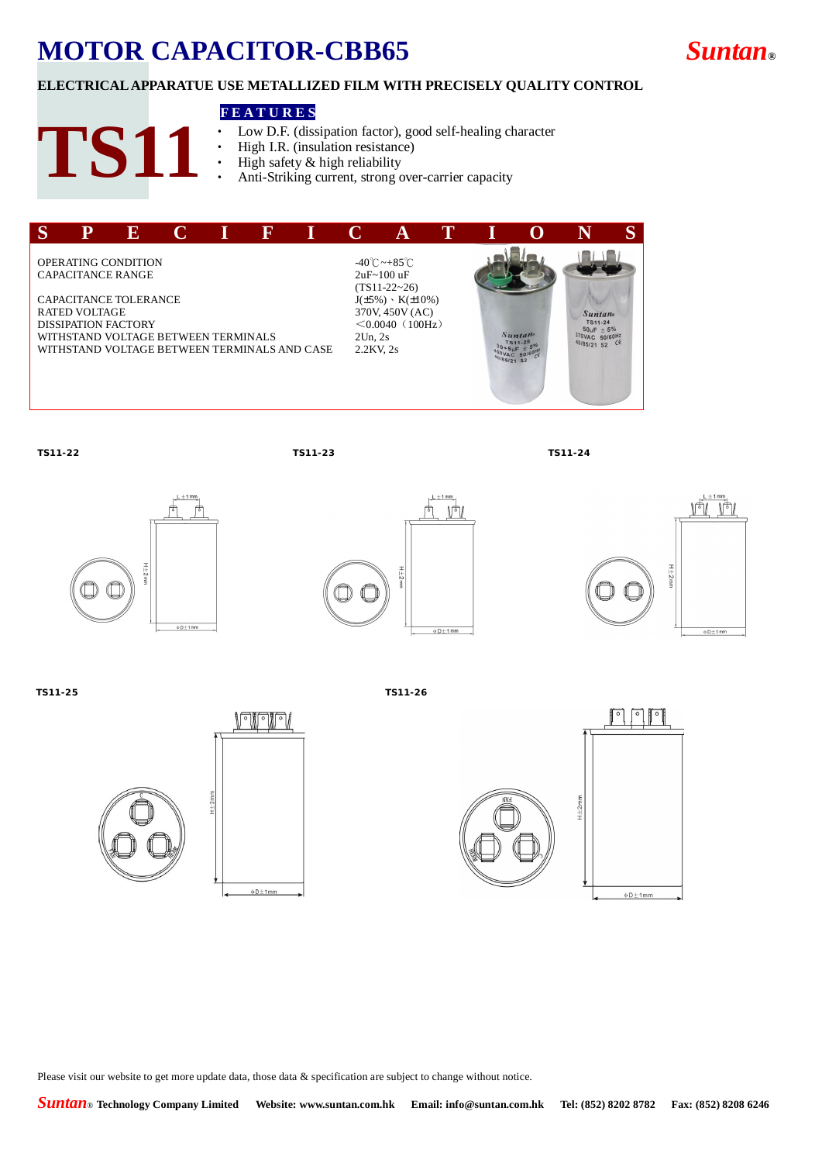# **MOTOR CAPACITOR-CBB65** *Suntan***®**

## **ELECTRICAL APPARATUE USE METALLIZED FILM WITH PRECISELY QUALITY CONTROL**

#### **F E A T U R E S**

- Low D.F. (dissipation factor), good self-healing character<br>• High LR. (insulation resistance)
- High I.R. (insulation resistance)
- High safety  $&$  high reliability
- Anti-Striking current, strong over-carrier capacity



**TS11**

**TS11-22 TS11-23 TS11-24**









**TS11-25 TS11-26**





Please visit our website to get more update data, those data & specification are subject to change without notice.